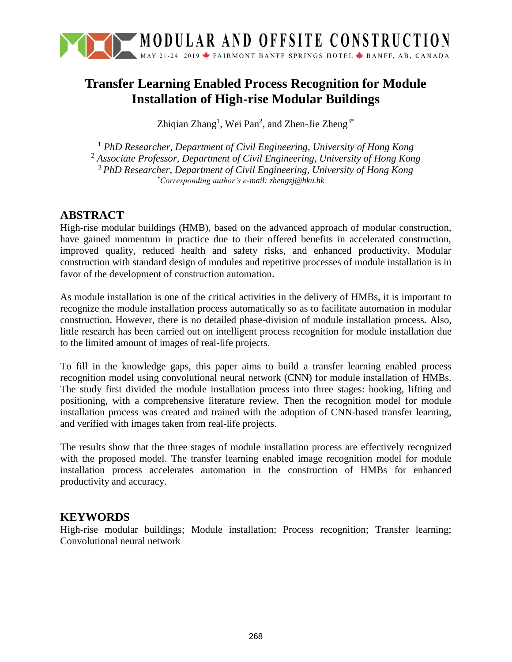

# **Transfer Learning Enabled Process Recognition for Module Installation of High-rise Modular Buildings**

Zhiqian Zhang<sup>1</sup>, Wei Pan<sup>2</sup>, and Zhen-Jie Zheng<sup>3\*</sup>

 *PhD Researcher, Department of Civil Engineering, University of Hong Kong Associate Professor, Department of Civil Engineering, University of Hong Kong PhD Researcher, Department of Civil Engineering, University of Hong Kong \*Corresponding author's e-mail: zhengzj@hku.hk*

# **ABSTRACT**

High-rise modular buildings (HMB), based on the advanced approach of modular construction, have gained momentum in practice due to their offered benefits in accelerated construction, improved quality, reduced health and safety risks, and enhanced productivity. Modular construction with standard design of modules and repetitive processes of module installation is in favor of the development of construction automation.

As module installation is one of the critical activities in the delivery of HMBs, it is important to recognize the module installation process automatically so as to facilitate automation in modular construction. However, there is no detailed phase-division of module installation process. Also, little research has been carried out on intelligent process recognition for module installation due to the limited amount of images of real-life projects.

To fill in the knowledge gaps, this paper aims to build a transfer learning enabled process recognition model using convolutional neural network (CNN) for module installation of HMBs. The study first divided the module installation process into three stages: hooking, lifting and positioning, with a comprehensive literature review. Then the recognition model for module installation process was created and trained with the adoption of CNN-based transfer learning, and verified with images taken from real-life projects.

The results show that the three stages of module installation process are effectively recognized with the proposed model. The transfer learning enabled image recognition model for module installation process accelerates automation in the construction of HMBs for enhanced productivity and accuracy.

### **KEYWORDS**

High-rise modular buildings; Module installation; Process recognition; Transfer learning; Convolutional neural network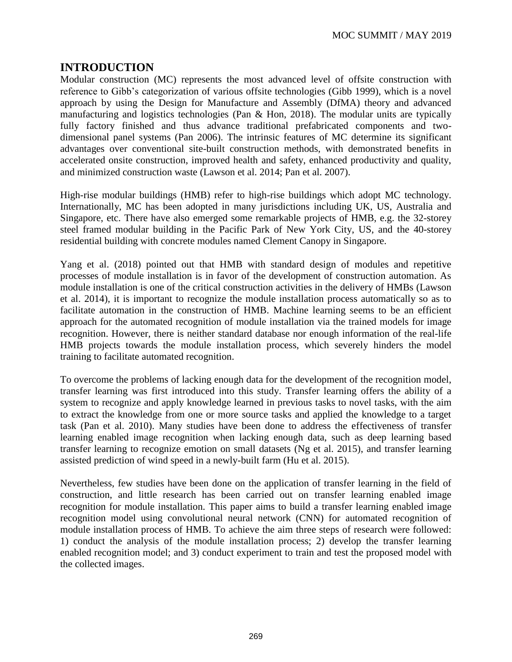# **INTRODUCTION**

Modular construction (MC) represents the most advanced level of offsite construction with reference to Gibb's categorization of various offsite technologies (Gibb 1999), which is a novel approach by using the Design for Manufacture and Assembly (DfMA) theory and advanced manufacturing and logistics technologies (Pan & Hon, 2018). The modular units are typically fully factory finished and thus advance traditional prefabricated components and twodimensional panel systems (Pan 2006). The intrinsic features of MC determine its significant advantages over conventional site-built construction methods, with demonstrated benefits in accelerated onsite construction, improved health and safety, enhanced productivity and quality, and minimized construction waste (Lawson et al. 2014; Pan et al. 2007).

High-rise modular buildings (HMB) refer to high-rise buildings which adopt MC technology. Internationally, MC has been adopted in many jurisdictions including UK, US, Australia and Singapore, etc. There have also emerged some remarkable projects of HMB, e.g. the 32-storey steel framed modular building in the Pacific Park of New York City, US, and the 40-storey residential building with concrete modules named Clement Canopy in Singapore.

Yang et al. (2018) pointed out that HMB with standard design of modules and repetitive processes of module installation is in favor of the development of construction automation. As module installation is one of the critical construction activities in the delivery of HMBs (Lawson et al. 2014), it is important to recognize the module installation process automatically so as to facilitate automation in the construction of HMB. Machine learning seems to be an efficient approach for the automated recognition of module installation via the trained models for image recognition. However, there is neither standard database nor enough information of the real-life HMB projects towards the module installation process, which severely hinders the model training to facilitate automated recognition.

To overcome the problems of lacking enough data for the development of the recognition model, transfer learning was first introduced into this study. Transfer learning offers the ability of a system to recognize and apply knowledge learned in previous tasks to novel tasks, with the aim to extract the knowledge from one or more source tasks and applied the knowledge to a target task (Pan et al. 2010). Many studies have been done to address the effectiveness of transfer learning enabled image recognition when lacking enough data, such as deep learning based transfer learning to recognize emotion on small datasets (Ng et al. 2015), and transfer learning assisted prediction of wind speed in a newly-built farm (Hu et al. 2015).

Nevertheless, few studies have been done on the application of transfer learning in the field of construction, and little research has been carried out on transfer learning enabled image recognition for module installation. This paper aims to build a transfer learning enabled image recognition model using convolutional neural network (CNN) for automated recognition of module installation process of HMB. To achieve the aim three steps of research were followed: 1) conduct the analysis of the module installation process; 2) develop the transfer learning enabled recognition model; and 3) conduct experiment to train and test the proposed model with the collected images.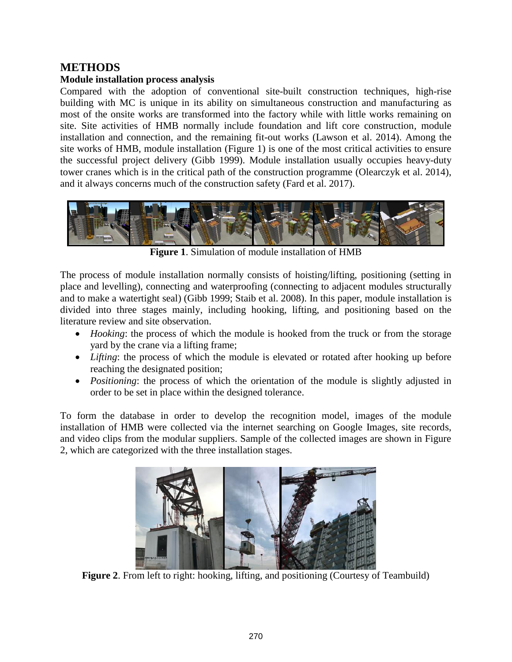# **METHODS**

#### **Module installation process analysis**

Compared with the adoption of conventional site-built construction techniques, high-rise building with MC is unique in its ability on simultaneous construction and manufacturing as most of the onsite works are transformed into the factory while with little works remaining on site. Site activities of HMB normally include foundation and lift core construction, module installation and connection, and the remaining fit-out works (Lawson et al. 2014). Among the site works of HMB, module installation (Figure 1) is one of the most critical activities to ensure the successful project delivery (Gibb 1999). Module installation usually occupies heavy-duty tower cranes which is in the critical path of the construction programme (Olearczyk et al. 2014), and it always concerns much of the construction safety (Fard et al. 2017).



**Figure 1**. Simulation of module installation of HMB

The process of module installation normally consists of hoisting/lifting, positioning (setting in place and levelling), connecting and waterproofing (connecting to adjacent modules structurally and to make a watertight seal) (Gibb 1999; Staib et al. 2008). In this paper, module installation is divided into three stages mainly, including hooking, lifting, and positioning based on the literature review and site observation.

- *Hooking*: the process of which the module is hooked from the truck or from the storage yard by the crane via a lifting frame;
- *Lifting*: the process of which the module is elevated or rotated after hooking up before reaching the designated position;
- *Positioning*: the process of which the orientation of the module is slightly adjusted in order to be set in place within the designed tolerance.

To form the database in order to develop the recognition model, images of the module installation of HMB were collected via the internet searching on Google Images, site records, and video clips from the modular suppliers. Sample of the collected images are shown in Figure 2, which are categorized with the three installation stages.



**Figure 2.** From left to right: hooking, lifting, and positioning (Courtesy of Teambuild)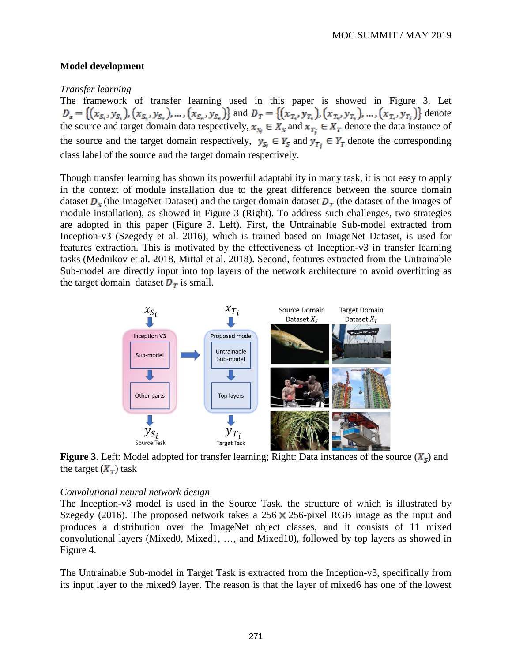#### **Model development**

#### *Transfer learning*

The framework of transfer learning used in this paper is showed in Figure 3. Let  $D_s = \{(x_{S_1}, y_{S_1}), (x_{S_2}, y_{S_2}), ..., (x_{S_n}, y_{S_n})\}$  and  $D_T = \{(x_{T_1}, y_{T_1}), (x_{T_2}, y_{T_2}), ..., (x_{T_n}, y_{T_n})\}$  denote the source and target domain data respectively,  $x_{S_i} \in X_S$  and  $x_{T_i} \in X_T$  denote the data instance of the source and the target domain respectively,  $y_{S_i} \in Y_S$  and  $y_{T_i} \in Y_T$  denote the corresponding class label of the source and the target domain respectively.

Though transfer learning has shown its powerful adaptability in many task, it is not easy to apply in the context of module installation due to the great difference between the source domain dataset  $D_s$  (the ImageNet Dataset) and the target domain dataset  $D<sub>\tau</sub>$  (the dataset of the images of module installation), as showed in Figure 3 (Right). To address such challenges, two strategies are adopted in this paper (Figure 3. Left). First, the Untrainable Sub-model extracted from Inception-v3 (Szegedy et al. 2016), which is trained based on ImageNet Dataset, is used for features extraction. This is motivated by the effectiveness of Inception-v3 in transfer learning tasks (Mednikov et al. 2018, Mittal et al. 2018). Second, features extracted from the Untrainable Sub-model are directly input into top layers of the network architecture to avoid overfitting as the target domain dataset  $D<sub>T</sub>$  is small.



**Figure 3**. Left: Model adopted for transfer learning; Right: Data instances of the source  $(X_{\rm s})$  and the target  $(X_T)$  task

#### *Convolutional neural network design*

The Inception-v3 model is used in the Source Task, the structure of which is illustrated by Szegedy (2016). The proposed network takes a  $256 \times 256$ -pixel RGB image as the input and produces a distribution over the ImageNet object classes, and it consists of 11 mixed convolutional layers (Mixed0, Mixed1, …, and Mixed10), followed by top layers as showed in Figure 4.

The Untrainable Sub-model in Target Task is extracted from the Inception-v3, specifically from its input layer to the mixed9 layer. The reason is that the layer of mixed6 has one of the lowest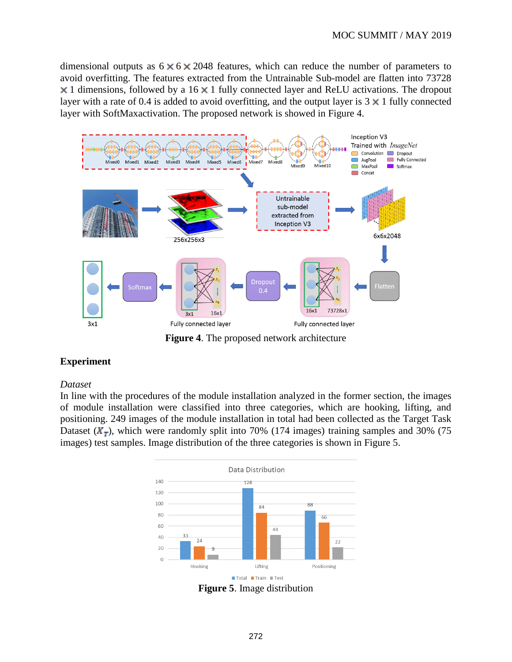dimensional outputs as  $6 \times 6 \times 2048$  features, which can reduce the number of parameters to avoid overfitting. The features extracted from the Untrainable Sub-model are flatten into 73728  $\times$  1 dimensions, followed by a 16  $\times$  1 fully connected layer and ReLU activations. The dropout layer with a rate of 0.4 is added to avoid overfitting, and the output layer is  $3 \times 1$  fully connected layer with SoftMaxactivation. The proposed network is showed in Figure 4.



**Figure 4**. The proposed network architecture

#### **Experiment**

#### *Dataset*

In line with the procedures of the module installation analyzed in the former section, the images of module installation were classified into three categories, which are hooking, lifting, and positioning. 249 images of the module installation in total had been collected as the Target Task Dataset  $(X_T)$ , which were randomly split into 70% (174 images) training samples and 30% (75 images) test samples. Image distribution of the three categories is shown in Figure 5.



**Figure 5**. Image distribution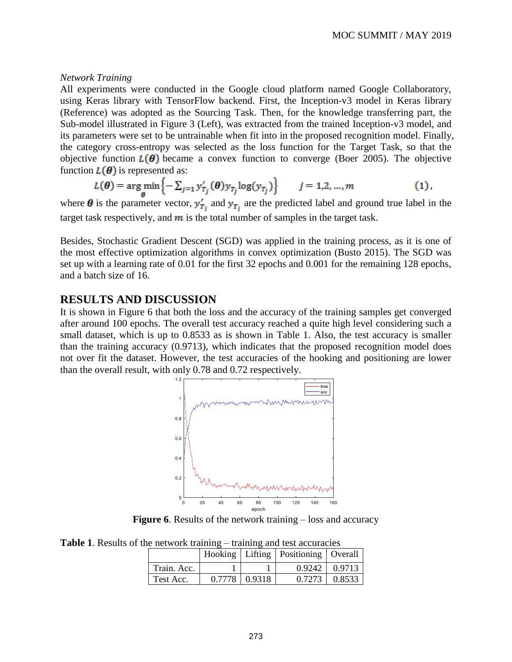#### *Network Training*

All experiments were conducted in the Google cloud platform named Google Collaboratory, using Keras library with TensorFlow backend. First, the Inception-v3 model in Keras library (Reference) was adopted as the Sourcing Task. Then, for the knowledge transferring part, the Sub-model illustrated in Figure 3 (Left), was extracted from the trained Inception-v3 model, and its parameters were set to be untrainable when fit into in the proposed recognition model. Finally, the category cross-entropy was selected as the loss function for the Target Task, so that the objective function  $L(\theta)$  became a convex function to converge (Boer 2005). The objective function  $L(\theta)$  is represented as:

$$
L(\boldsymbol{\theta}) = \arg\min_{\boldsymbol{\theta}} \left\{ -\sum_{j=1}^N y'_{T_j}(\boldsymbol{\theta}) y_{T_j} \log(y_{T_j}) \right\} \qquad j = 1, 2, ..., m \tag{1},
$$

where  $\theta$  is the parameter vector,  $y'_{T_j}$  and  $y_{T_j}$  are the predicted label and ground true label in the target task respectively, and  $m$  is the total number of samples in the target task.

Besides, Stochastic Gradient Descent (SGD) was applied in the training process, as it is one of the most effective optimization algorithms in convex optimization (Busto 2015). The SGD was set up with a learning rate of 0.01 for the first 32 epochs and 0.001 for the remaining 128 epochs, and a batch size of 16.

## **RESULTS AND DISCUSSION**

It is shown in Figure 6 that both the loss and the accuracy of the training samples get converged after around 100 epochs. The overall test accuracy reached a quite high level considering such a small dataset, which is up to  $0.8533$  as is shown in Table 1. Also, the test accuracy is smaller than the training accuracy (0.9713), which indicates that the proposed recognition model does not over fit the dataset. However, the test accuracies of the hooking and positioning are lower than the overall result, with only 0.78 and 0.72 respectively.



**Figure 6**. Results of the network training – loss and accuracy

**Table 1**. Results of the network training – training and test accuracies

|             |                 | Hooking   Lifting   Positioning   Overall |                      |
|-------------|-----------------|-------------------------------------------|----------------------|
| Train. Acc. |                 |                                           | $0.9242 \mid 0.9713$ |
| Test Acc.   | $0.7778$ 0.9318 |                                           | $0.7273 \mid 0.8533$ |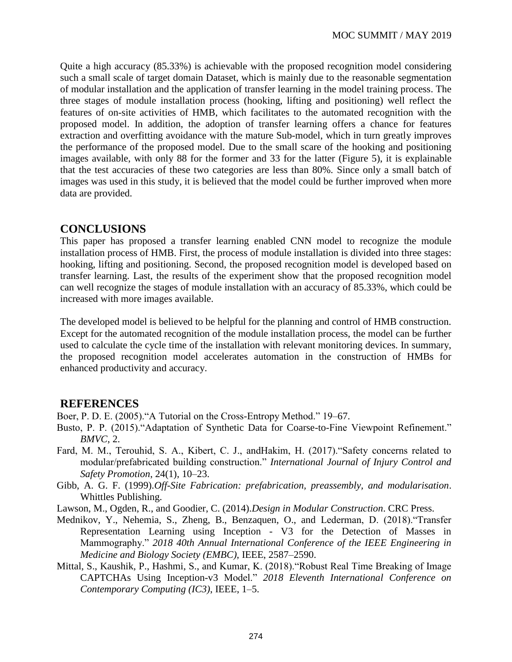Quite a high accuracy (85.33%) is achievable with the proposed recognition model considering such a small scale of target domain Dataset, which is mainly due to the reasonable segmentation of modular installation and the application of transfer learning in the model training process. The three stages of module installation process (hooking, lifting and positioning) well reflect the features of on-site activities of HMB, which facilitates to the automated recognition with the proposed model. In addition, the adoption of transfer learning offers a chance for features extraction and overfitting avoidance with the mature Sub-model, which in turn greatly improves the performance of the proposed model. Due to the small scare of the hooking and positioning images available, with only 88 for the former and 33 for the latter (Figure 5), it is explainable that the test accuracies of these two categories are less than 80%. Since only a small batch of images was used in this study, it is believed that the model could be further improved when more data are provided.

### **CONCLUSIONS**

This paper has proposed a transfer learning enabled CNN model to recognize the module installation process of HMB. First, the process of module installation is divided into three stages: hooking, lifting and positioning. Second, the proposed recognition model is developed based on transfer learning. Last, the results of the experiment show that the proposed recognition model can well recognize the stages of module installation with an accuracy of 85.33%, which could be increased with more images available.

The developed model is believed to be helpful for the planning and control of HMB construction. Except for the automated recognition of the module installation process, the model can be further used to calculate the cycle time of the installation with relevant monitoring devices. In summary, the proposed recognition model accelerates automation in the construction of HMBs for enhanced productivity and accuracy.

### **REFERENCES**

Boer, P. D. E. (2005)."A Tutorial on the Cross-Entropy Method." 19–67.

- Busto, P. P. (2015)."Adaptation of Synthetic Data for Coarse-to-Fine Viewpoint Refinement." *BMVC*, 2.
- Fard, M. M., Terouhid, S. A., Kibert, C. J., andHakim, H. (2017)."Safety concerns related to modular/prefabricated building construction." *International Journal of Injury Control and Safety Promotion*, 24(1), 10–23.
- Gibb, A. G. F. (1999).*Off-Site Fabrication: prefabrication, preassembly, and modularisation*. Whittles Publishing.
- Lawson, M., Ogden, R., and Goodier, C. (2014).*Design in Modular Construction*. CRC Press.
- Mednikov, Y., Nehemia, S., Zheng, B., Benzaquen, O., and Lederman, D. (2018)."Transfer Representation Learning using Inception - V3 for the Detection of Masses in Mammography." *2018 40th Annual International Conference of the IEEE Engineering in Medicine and Biology Society (EMBC)*, IEEE, 2587–2590.
- Mittal, S., Kaushik, P., Hashmi, S., and Kumar, K. (2018)."Robust Real Time Breaking of Image CAPTCHAs Using Inception-v3 Model." *2018 Eleventh International Conference on Contemporary Computing (IC3)*, IEEE, 1–5.